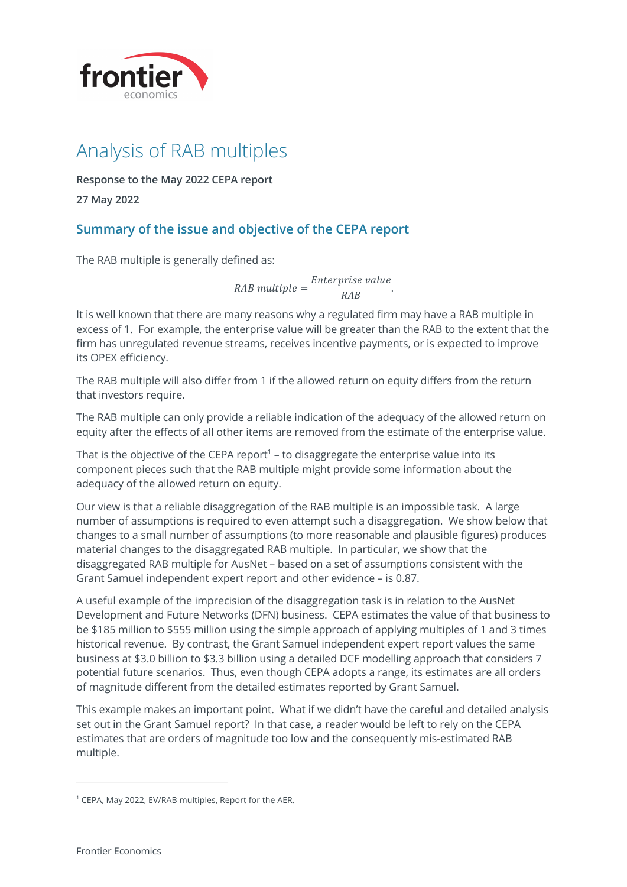

**Response to the May 2022 CEPA report**

**27 May 2022**

## **Summary of the issue and objective of the CEPA report**

The RAB multiple is generally defined as:

 $RAB$  multiple  $=$   $\frac{Enterprise$  value.

It is well known that there are many reasons why a regulated firm may have a RAB multiple in excess of 1. For example, the enterprise value will be greater than the RAB to the extent that the firm has unregulated revenue streams, receives incentive payments, or is expected to improve its OPEX efficiency.

The RAB multiple will also differ from 1 if the allowed return on equity differs from the return that investors require.

The RAB multiple can only provide a reliable indication of the adequacy of the allowed return on equity after the effects of all other items are removed from the estimate of the enterprise value.

That is the objective of the CEPA report<sup>1</sup> – to disaggregate the enterprise value into its component pieces such that the RAB multiple might provide some information about the adequacy of the allowed return on equity.

Our view is that a reliable disaggregation of the RAB multiple is an impossible task. A large number of assumptions is required to even attempt such a disaggregation. We show below that changes to a small number of assumptions (to more reasonable and plausible figures) produces material changes to the disaggregated RAB multiple. In particular, we show that the disaggregated RAB multiple for AusNet – based on a set of assumptions consistent with the Grant Samuel independent expert report and other evidence – is 0.87.

A useful example of the imprecision of the disaggregation task is in relation to the AusNet Development and Future Networks (DFN) business. CEPA estimates the value of that business to be \$185 million to \$555 million using the simple approach of applying multiples of 1 and 3 times historical revenue. By contrast, the Grant Samuel independent expert report values the same business at \$3.0 billion to \$3.3 billion using a detailed DCF modelling approach that considers 7 potential future scenarios. Thus, even though CEPA adopts a range, its estimates are all orders of magnitude different from the detailed estimates reported by Grant Samuel.

This example makes an important point. What if we didn't have the careful and detailed analysis set out in the Grant Samuel report? In that case, a reader would be left to rely on the CEPA estimates that are orders of magnitude too low and the consequently mis-estimated RAB multiple.

<sup>1</sup> CEPA, May 2022, EV/RAB multiples, Report for the AER.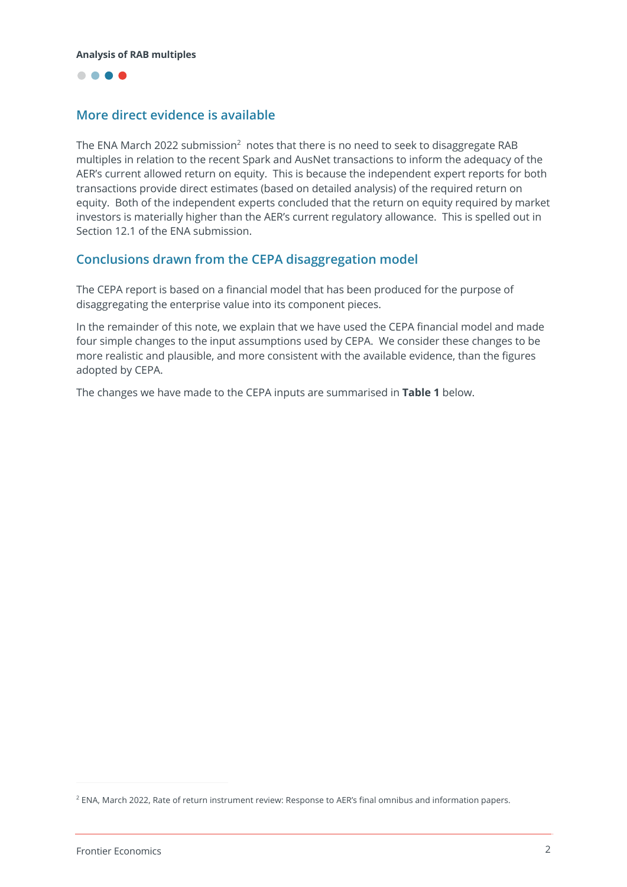

## **More direct evidence is available**

The ENA March 2022 submission<sup>2</sup> notes that there is no need to seek to disaggregate RAB multiples in relation to the recent Spark and AusNet transactions to inform the adequacy of the AER's current allowed return on equity. This is because the independent expert reports for both transactions provide direct estimates (based on detailed analysis) of the required return on equity. Both of the independent experts concluded that the return on equity required by market investors is materially higher than the AER's current regulatory allowance. This is spelled out in Section 12.1 of the ENA submission.

## **Conclusions drawn from the CEPA disaggregation model**

The CEPA report is based on a financial model that has been produced for the purpose of disaggregating the enterprise value into its component pieces.

In the remainder of this note, we explain that we have used the CEPA financial model and made four simple changes to the input assumptions used by CEPA. We consider these changes to be more realistic and plausible, and more consistent with the available evidence, than the figures adopted by CEPA.

The changes we have made to the CEPA inputs are summarised in **Table 1** below.

<sup>2</sup> ENA, March 2022, Rate of return instrument review: Response to AER's final omnibus and information papers.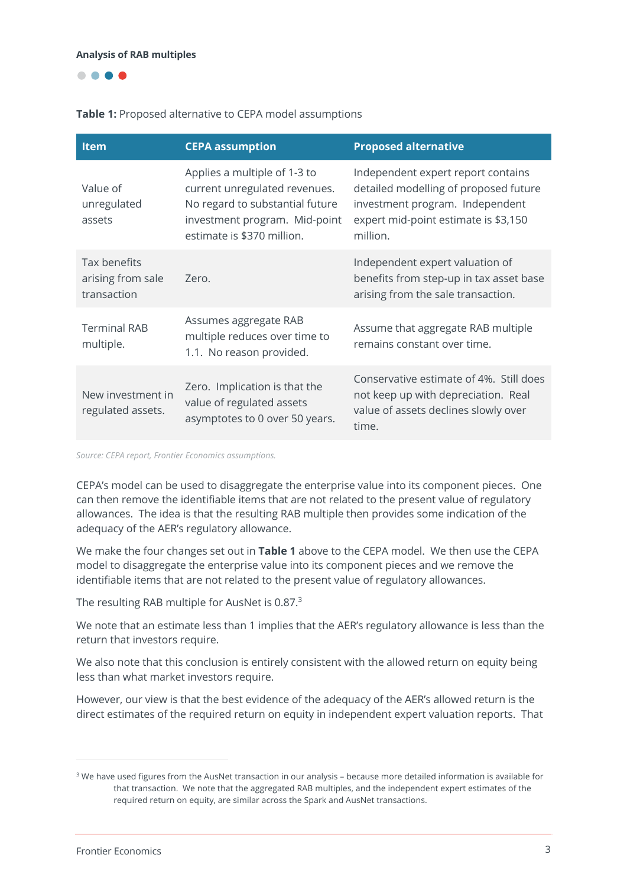

## **Table 1:** Proposed alternative to CEPA model assumptions

| <b>Item</b>                                      | <b>CEPA assumption</b>                                                                                                                                          | <b>Proposed alternative</b>                                                                                                                                        |
|--------------------------------------------------|-----------------------------------------------------------------------------------------------------------------------------------------------------------------|--------------------------------------------------------------------------------------------------------------------------------------------------------------------|
| Value of<br>unregulated<br>assets                | Applies a multiple of 1-3 to<br>current unregulated revenues.<br>No regard to substantial future<br>investment program. Mid-point<br>estimate is \$370 million. | Independent expert report contains<br>detailed modelling of proposed future<br>investment program. Independent<br>expert mid-point estimate is \$3,150<br>million. |
| Tax benefits<br>arising from sale<br>transaction | Zero.                                                                                                                                                           | Independent expert valuation of<br>benefits from step-up in tax asset base<br>arising from the sale transaction.                                                   |
| <b>Terminal RAB</b><br>multiple.                 | Assumes aggregate RAB<br>multiple reduces over time to<br>1.1. No reason provided.                                                                              | Assume that aggregate RAB multiple<br>remains constant over time.                                                                                                  |
| New investment in<br>regulated assets.           | Zero. Implication is that the<br>value of regulated assets<br>asymptotes to 0 over 50 years.                                                                    | Conservative estimate of 4%. Still does<br>not keep up with depreciation. Real<br>value of assets declines slowly over<br>time.                                    |

*Source: CEPA report, Frontier Economics assumptions.*

CEPA's model can be used to disaggregate the enterprise value into its component pieces. One can then remove the identifiable items that are not related to the present value of regulatory allowances. The idea is that the resulting RAB multiple then provides some indication of the adequacy of the AER's regulatory allowance.

We make the four changes set out in **Table 1** above to the CEPA model. We then use the CEPA model to disaggregate the enterprise value into its component pieces and we remove the identifiable items that are not related to the present value of regulatory allowances.

The resulting RAB multiple for AusNet is 0.87.<sup>3</sup>

We note that an estimate less than 1 implies that the AER's regulatory allowance is less than the return that investors require.

We also note that this conclusion is entirely consistent with the allowed return on equity being less than what market investors require.

However, our view is that the best evidence of the adequacy of the AER's allowed return is the direct estimates of the required return on equity in independent expert valuation reports. That

<sup>&</sup>lt;sup>3</sup> We have used figures from the AusNet transaction in our analysis – because more detailed information is available for that transaction. We note that the aggregated RAB multiples, and the independent expert estimates of the required return on equity, are similar across the Spark and AusNet transactions.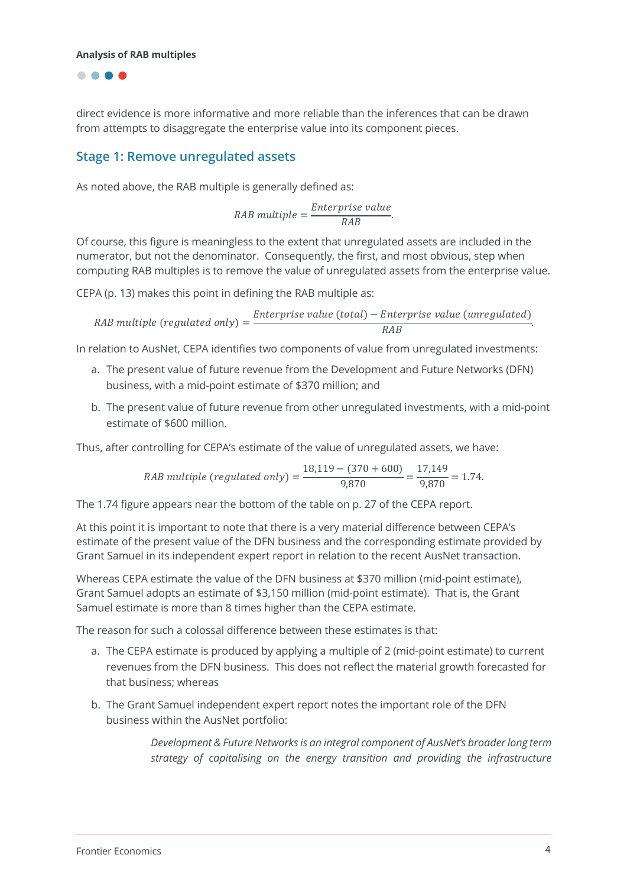

direct evidence is more informative and more reliable than the inferences that can be drawn from attempts to disaggregate the enterprise value into its component pieces.

## **Stage 1: Remove unregulated assets**

As noted above, the RAB multiple is generally defined as:

$$
RAB \t multiple = \frac{Enterprise \t value}{RAB}.
$$

Of course, this figure is meaningless to the extent that unregulated assets are included in the numerator, but not the denominator. Consequently, the first, and most obvious, step when computing RAB multiples is to remove the value of unregulated assets from the enterprise value.

CEPA (p. 13) makes this point in defining the RAB multiple as:

*RAB multiple (regulated only)* = 
$$
\frac{ \text{Exterprise value (total) - Enterprise value (unregulated)} }{\text{RAB}}
$$

In relation to AusNet, CEPA identifies two components of value from unregulated investments:

- a. The present value of future revenue from the Development and Future Networks (DFN) business, with a mid-point estimate of \$370 million; and
- b. The present value of future revenue from other unregulated investments, with a mid-point estimate of \$600 million.

Thus, after controlling for CEPA's estimate of the value of unregulated assets, we have:

RAB multiple (regulated only) =  $\frac{18,119 - (370 + 600)}{9,870} = \frac{17,149}{9,870} = 1.74.$ 

The 1.74 figure appears near the bottom of the table on p. 27 of the CEPA report.

At this point it is important to note that there is a very material difference between CEPA's estimate of the present value of the DFN business and the corresponding estimate provided by Grant Samuel in its independent expert report in relation to the recent AusNet transaction.

Whereas CEPA estimate the value of the DFN business at \$370 million (mid-point estimate), Grant Samuel adopts an estimate of \$3,150 million (mid-point estimate). That is, the Grant Samuel estimate is more than 8 times higher than the CEPA estimate.

The reason for such a colossal difference between these estimates is that:

- a. The CEPA estimate is produced by applying a multiple of 2 (mid-point estimate) to current revenues from the DFN business. This does not reflect the material growth forecasted for that business; whereas
- b. The Grant Samuel independent expert report notes the important role of the DFN business within the AusNet portfolio:

*Development & Future Networks is an integral component of AusNet's broader long term strategy of capitalising on the energy transition and providing the infrastructure*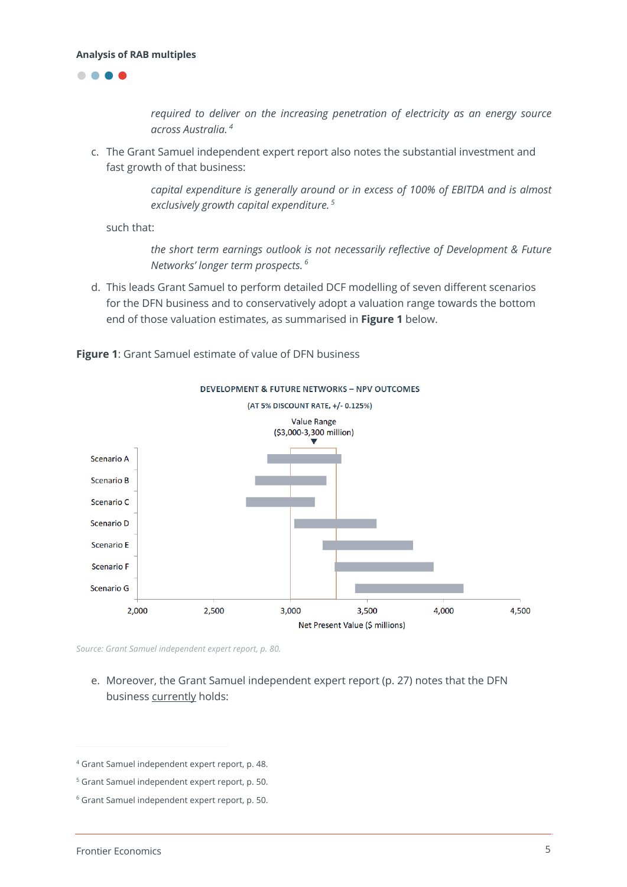



*required to deliver on the increasing penetration of electricity as an energy source across Australia. <sup>4</sup>*

c. The Grant Samuel independent expert report also notes the substantial investment and fast growth of that business:

> *capital expenditure is generally around or in excess of 100% of EBITDA and is almost exclusively growth capital expenditure. 5*

such that:

*the short term earnings outlook is not necessarily reflective of Development & Future Networks' longer term prospects. <sup>6</sup>*

d. This leads Grant Samuel to perform detailed DCF modelling of seven different scenarios for the DFN business and to conservatively adopt a valuation range towards the bottom end of those valuation estimates, as summarised in **Figure 1** below.



**Figure 1**: Grant Samuel estimate of value of DFN business

*Source: Grant Samuel independent expert report, p. 80.*

e. Moreover, the Grant Samuel independent expert report (p. 27) notes that the DFN business currently holds:

<sup>4</sup> Grant Samuel independent expert report, p. 48.

<sup>5</sup> Grant Samuel independent expert report, p. 50.

<sup>6</sup> Grant Samuel independent expert report, p. 50.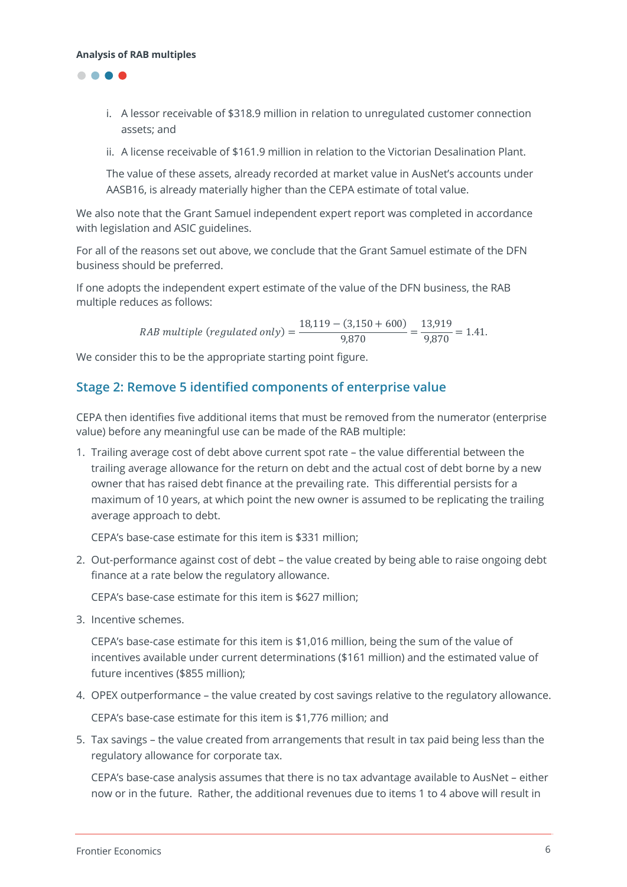

- i. A lessor receivable of \$318.9 million in relation to unregulated customer connection assets; and
- ii. A license receivable of \$161.9 million in relation to the Victorian Desalination Plant.

The value of these assets, already recorded at market value in AusNet's accounts under AASB16, is already materially higher than the CEPA estimate of total value.

We also note that the Grant Samuel independent expert report was completed in accordance with legislation and ASIC guidelines.

For all of the reasons set out above, we conclude that the Grant Samuel estimate of the DFN business should be preferred.

If one adopts the independent expert estimate of the value of the DFN business, the RAB multiple reduces as follows:

RAB multiple (regulated only) =  $\frac{18,119 - (3,150 + 600)}{9,870} = \frac{13,919}{9,870} = 1.41$ .

We consider this to be the appropriate starting point figure.

## **Stage 2: Remove 5 identified components of enterprise value**

CEPA then identifies five additional items that must be removed from the numerator (enterprise value) before any meaningful use can be made of the RAB multiple:

1. Trailing average cost of debt above current spot rate – the value differential between the trailing average allowance for the return on debt and the actual cost of debt borne by a new owner that has raised debt finance at the prevailing rate. This differential persists for a maximum of 10 years, at which point the new owner is assumed to be replicating the trailing average approach to debt.

CEPA's base-case estimate for this item is \$331 million;

2. Out-performance against cost of debt – the value created by being able to raise ongoing debt finance at a rate below the regulatory allowance.

CEPA's base-case estimate for this item is \$627 million;

3. Incentive schemes.

CEPA's base-case estimate for this item is \$1,016 million, being the sum of the value of incentives available under current determinations (\$161 million) and the estimated value of future incentives (\$855 million);

- 4. OPEX outperformance the value created by cost savings relative to the regulatory allowance. CEPA's base-case estimate for this item is \$1,776 million; and
- 5. Tax savings the value created from arrangements that result in tax paid being less than the regulatory allowance for corporate tax.

CEPA's base-case analysis assumes that there is no tax advantage available to AusNet – either now or in the future. Rather, the additional revenues due to items 1 to 4 above will result in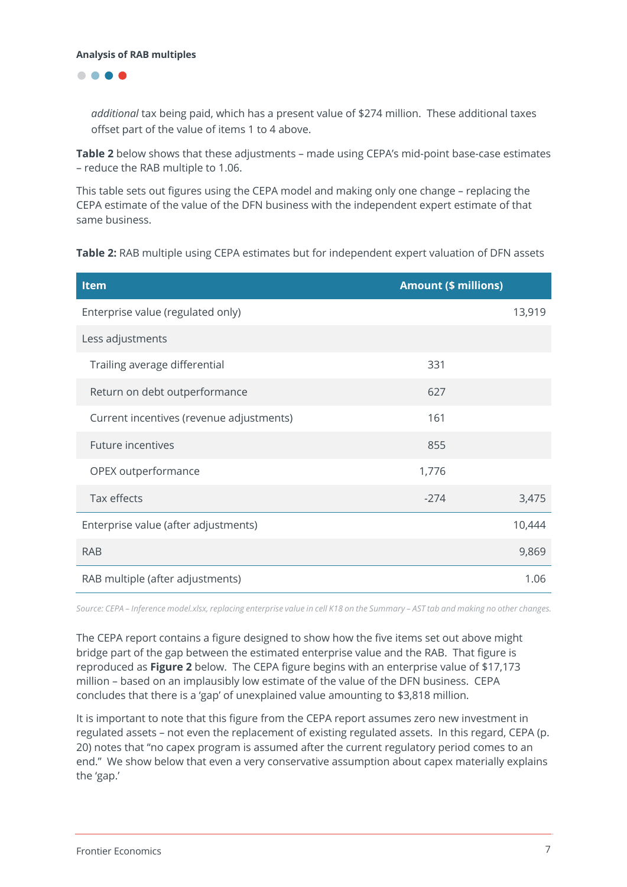$\bullet\bullet\bullet\bullet$ 

*additional* tax being paid, which has a present value of \$274 million. These additional taxes offset part of the value of items 1 to 4 above.

**Table 2** below shows that these adjustments – made using CEPA's mid-point base-case estimates – reduce the RAB multiple to 1.06.

This table sets out figures using the CEPA model and making only one change – replacing the CEPA estimate of the value of the DFN business with the independent expert estimate of that same business.

| Table 2: RAB multiple using CEPA estimates but for independent expert valuation of DFN assets |  |  |
|-----------------------------------------------------------------------------------------------|--|--|
|-----------------------------------------------------------------------------------------------|--|--|

| <b>Item</b>                              | <b>Amount (\$ millions)</b> |        |
|------------------------------------------|-----------------------------|--------|
| Enterprise value (regulated only)        |                             | 13,919 |
| Less adjustments                         |                             |        |
| Trailing average differential            | 331                         |        |
| Return on debt outperformance            | 627                         |        |
| Current incentives (revenue adjustments) | 161                         |        |
| <b>Future incentives</b>                 | 855                         |        |
| OPEX outperformance                      | 1,776                       |        |
| Tax effects                              | $-274$                      | 3,475  |
| Enterprise value (after adjustments)     |                             | 10,444 |
| <b>RAB</b>                               |                             | 9,869  |
| RAB multiple (after adjustments)         |                             | 1.06   |

*Source: CEPA – Inference model.xlsx, replacing enterprise value in cell K18 on the Summary – AST tab and making no other changes.*

The CEPA report contains a figure designed to show how the five items set out above might bridge part of the gap between the estimated enterprise value and the RAB. That figure is reproduced as **Figure 2** below. The CEPA figure begins with an enterprise value of \$17,173 million – based on an implausibly low estimate of the value of the DFN business. CEPA concludes that there is a 'gap' of unexplained value amounting to \$3,818 million.

It is important to note that this figure from the CEPA report assumes zero new investment in regulated assets – not even the replacement of existing regulated assets. In this regard, CEPA (p. 20) notes that "no capex program is assumed after the current regulatory period comes to an end." We show below that even a very conservative assumption about capex materially explains the 'gap.'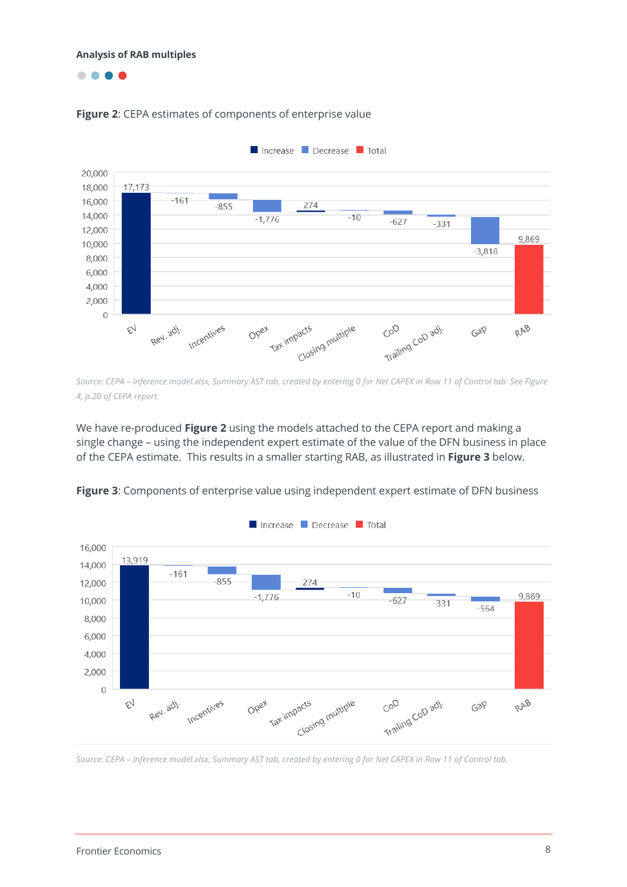....





*Source: CEPA – Inference model.xlsx, Summary AST tab, created by entering 0 for Net CAPEX in Row 11 of Control tab. See Figure 4, p.20 of CEPA report.*

We have re-produced **Figure 2** using the models attached to the CEPA report and making a single change – using the independent expert estimate of the value of the DFN business in place of the CEPA estimate. This results in a smaller starting RAB, as illustrated in **Figure 3** below.



**Figure 3**: Components of enterprise value using independent expert estimate of DFN business

*Source: CEPA – Inference model.xlsx, Summary AST tab, created by entering 0 for Net CAPEX in Row 11 of Control tab.*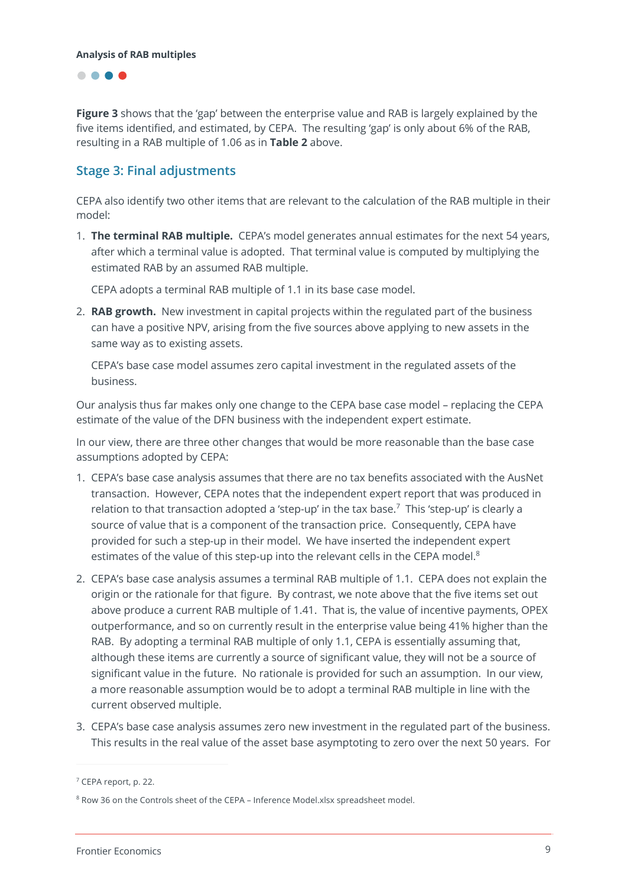

**Figure 3** shows that the 'gap' between the enterprise value and RAB is largely explained by the five items identified, and estimated, by CEPA. The resulting 'gap' is only about 6% of the RAB, resulting in a RAB multiple of 1.06 as in **Table 2** above.

## **Stage 3: Final adjustments**

CEPA also identify two other items that are relevant to the calculation of the RAB multiple in their model:

1. **The terminal RAB multiple.** CEPA's model generates annual estimates for the next 54 years, after which a terminal value is adopted. That terminal value is computed by multiplying the estimated RAB by an assumed RAB multiple.

CEPA adopts a terminal RAB multiple of 1.1 in its base case model.

2. **RAB growth.** New investment in capital projects within the regulated part of the business can have a positive NPV, arising from the five sources above applying to new assets in the same way as to existing assets.

CEPA's base case model assumes zero capital investment in the regulated assets of the business.

Our analysis thus far makes only one change to the CEPA base case model – replacing the CEPA estimate of the value of the DFN business with the independent expert estimate.

In our view, there are three other changes that would be more reasonable than the base case assumptions adopted by CEPA:

- 1. CEPA's base case analysis assumes that there are no tax benefits associated with the AusNet transaction. However, CEPA notes that the independent expert report that was produced in relation to that transaction adopted a 'step-up' in the tax base.<sup>7</sup> This 'step-up' is clearly a source of value that is a component of the transaction price. Consequently, CEPA have provided for such a step-up in their model. We have inserted the independent expert estimates of the value of this step-up into the relevant cells in the CEPA model.<sup>8</sup>
- 2. CEPA's base case analysis assumes a terminal RAB multiple of 1.1. CEPA does not explain the origin or the rationale for that figure. By contrast, we note above that the five items set out above produce a current RAB multiple of 1.41. That is, the value of incentive payments, OPEX outperformance, and so on currently result in the enterprise value being 41% higher than the RAB. By adopting a terminal RAB multiple of only 1.1, CEPA is essentially assuming that, although these items are currently a source of significant value, they will not be a source of significant value in the future. No rationale is provided for such an assumption. In our view, a more reasonable assumption would be to adopt a terminal RAB multiple in line with the current observed multiple.
- 3. CEPA's base case analysis assumes zero new investment in the regulated part of the business. This results in the real value of the asset base asymptoting to zero over the next 50 years. For

<sup>7</sup> CEPA report, p. 22.

<sup>&</sup>lt;sup>8</sup> Row 36 on the Controls sheet of the CEPA - Inference Model.xlsx spreadsheet model.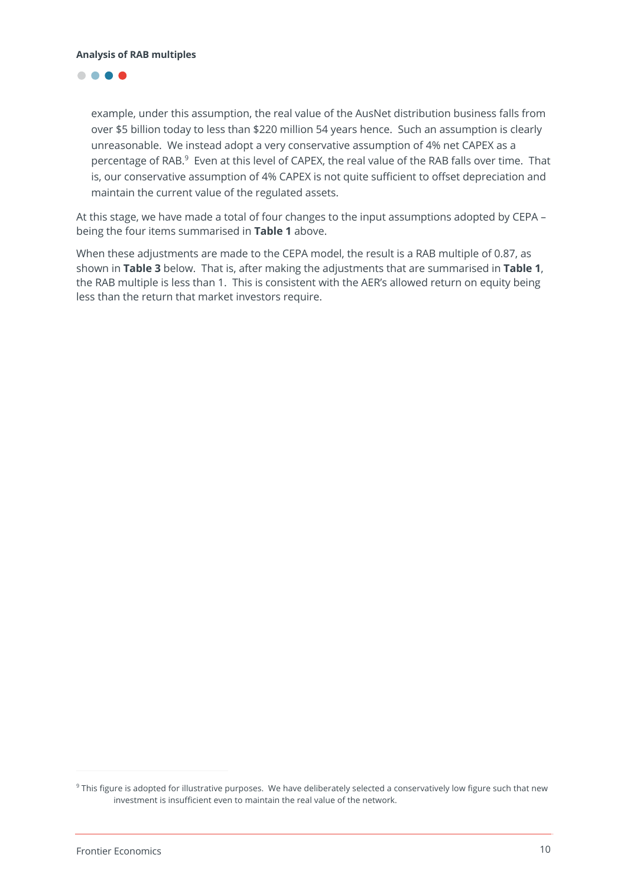## ....

example, under this assumption, the real value of the AusNet distribution business falls from over \$5 billion today to less than \$220 million 54 years hence. Such an assumption is clearly unreasonable. We instead adopt a very conservative assumption of 4% net CAPEX as a percentage of RAB.<sup>9</sup> Even at this level of CAPEX, the real value of the RAB falls over time. That is, our conservative assumption of 4% CAPEX is not quite sufficient to offset depreciation and maintain the current value of the regulated assets.

At this stage, we have made a total of four changes to the input assumptions adopted by CEPA – being the four items summarised in **Table 1** above.

When these adjustments are made to the CEPA model, the result is a RAB multiple of 0.87, as shown in **Table 3** below. That is, after making the adjustments that are summarised in **Table 1**, the RAB multiple is less than 1. This is consistent with the AER's allowed return on equity being less than the return that market investors require.

<sup>&</sup>lt;sup>9</sup> This figure is adopted for illustrative purposes. We have deliberately selected a conservatively low figure such that new investment is insufficient even to maintain the real value of the network.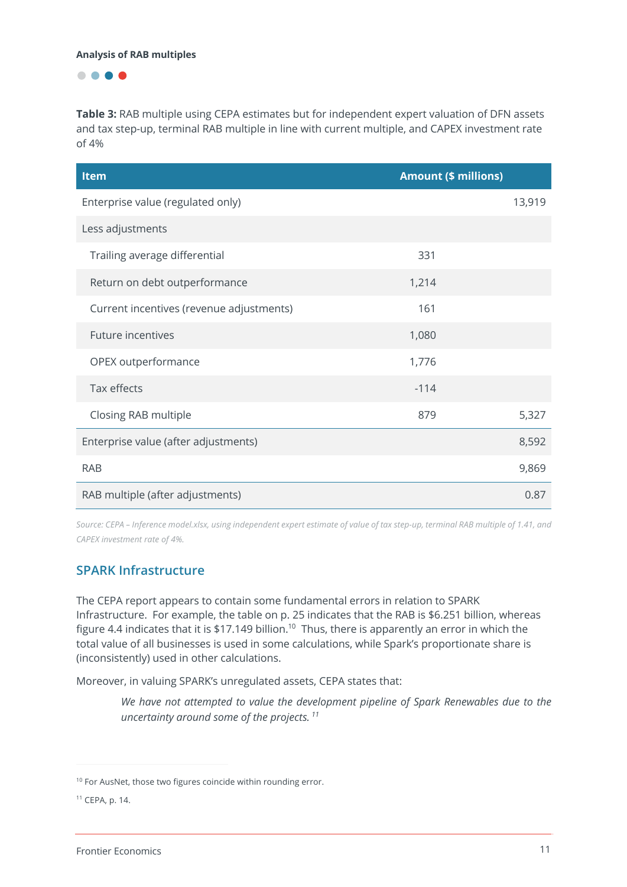....

**Table 3:** RAB multiple using CEPA estimates but for independent expert valuation of DFN assets and tax step-up, terminal RAB multiple in line with current multiple, and CAPEX investment rate of 4%

| <b>Item</b>                              | <b>Amount (\$ millions)</b> |        |
|------------------------------------------|-----------------------------|--------|
| Enterprise value (regulated only)        |                             | 13,919 |
| Less adjustments                         |                             |        |
| Trailing average differential            | 331                         |        |
| Return on debt outperformance            | 1,214                       |        |
| Current incentives (revenue adjustments) | 161                         |        |
| <b>Future incentives</b>                 | 1,080                       |        |
| OPEX outperformance                      | 1,776                       |        |
| Tax effects                              | $-114$                      |        |
| Closing RAB multiple                     | 879                         | 5,327  |
| Enterprise value (after adjustments)     |                             | 8,592  |
| <b>RAB</b>                               |                             | 9,869  |
| RAB multiple (after adjustments)         |                             | 0.87   |

*Source: CEPA – Inference model.xlsx, using independent expert estimate of value of tax step-up, terminal RAB multiple of 1.41, and CAPEX investment rate of 4%.*

## **SPARK Infrastructure**

The CEPA report appears to contain some fundamental errors in relation to SPARK Infrastructure. For example, the table on p. 25 indicates that the RAB is \$6.251 billion, whereas figure 4.4 indicates that it is \$17.149 billion.<sup>10</sup> Thus, there is apparently an error in which the total value of all businesses is used in some calculations, while Spark's proportionate share is (inconsistently) used in other calculations.

Moreover, in valuing SPARK's unregulated assets, CEPA states that:

*We have not attempted to value the development pipeline of Spark Renewables due to the uncertainty around some of the projects. 11* 

<sup>&</sup>lt;sup>10</sup> For AusNet, those two figures coincide within rounding error.

<sup>11</sup> CEPA, p. 14.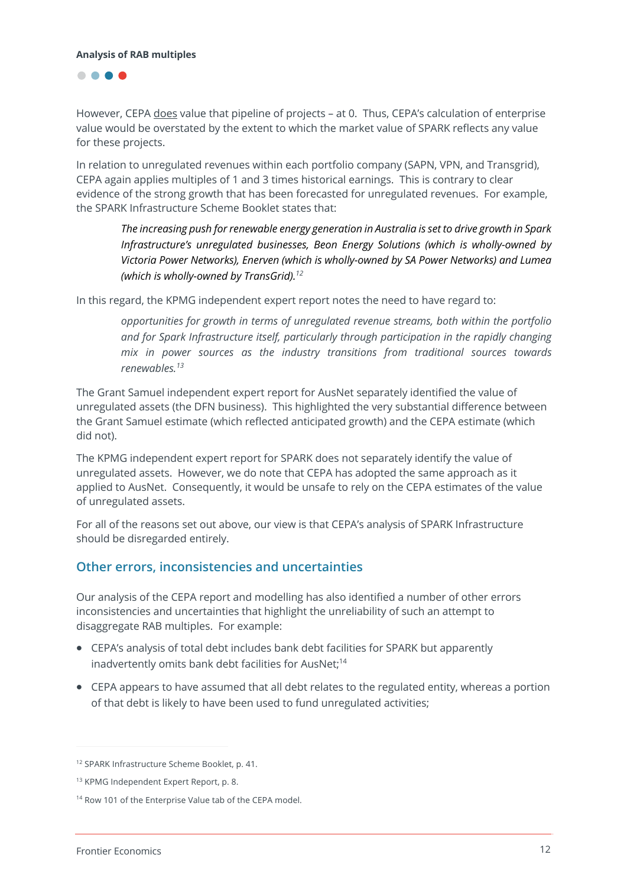

However, CEPA does value that pipeline of projects – at 0. Thus, CEPA's calculation of enterprise value would be overstated by the extent to which the market value of SPARK reflects any value for these projects.

In relation to unregulated revenues within each portfolio company (SAPN, VPN, and Transgrid), CEPA again applies multiples of 1 and 3 times historical earnings. This is contrary to clear evidence of the strong growth that has been forecasted for unregulated revenues. For example, the SPARK Infrastructure Scheme Booklet states that:

*The increasing push for renewable energy generation in Australia is set to drive growth in Spark Infrastructure's unregulated businesses, Beon Energy Solutions (which is wholly-owned by Victoria Power Networks), Enerven (which is wholly-owned by SA Power Networks) and Lumea (which is wholly-owned by TransGrid).12*

In this regard, the KPMG independent expert report notes the need to have regard to:

*opportunities for growth in terms of unregulated revenue streams, both within the portfolio and for Spark Infrastructure itself, particularly through participation in the rapidly changing mix in power sources as the industry transitions from traditional sources towards renewables.<sup>13</sup>*

The Grant Samuel independent expert report for AusNet separately identified the value of unregulated assets (the DFN business). This highlighted the very substantial difference between the Grant Samuel estimate (which reflected anticipated growth) and the CEPA estimate (which did not).

The KPMG independent expert report for SPARK does not separately identify the value of unregulated assets. However, we do note that CEPA has adopted the same approach as it applied to AusNet. Consequently, it would be unsafe to rely on the CEPA estimates of the value of unregulated assets.

For all of the reasons set out above, our view is that CEPA's analysis of SPARK Infrastructure should be disregarded entirely.

## **Other errors, inconsistencies and uncertainties**

Our analysis of the CEPA report and modelling has also identified a number of other errors inconsistencies and uncertainties that highlight the unreliability of such an attempt to disaggregate RAB multiples. For example:

- CEPA's analysis of total debt includes bank debt facilities for SPARK but apparently inadvertently omits bank debt facilities for AusNet;<sup>14</sup>
- CEPA appears to have assumed that all debt relates to the regulated entity, whereas a portion of that debt is likely to have been used to fund unregulated activities;

<sup>12</sup> SPARK Infrastructure Scheme Booklet, p. 41.

<sup>13</sup> KPMG Independent Expert Report, p. 8.

<sup>&</sup>lt;sup>14</sup> Row 101 of the Enterprise Value tab of the CEPA model.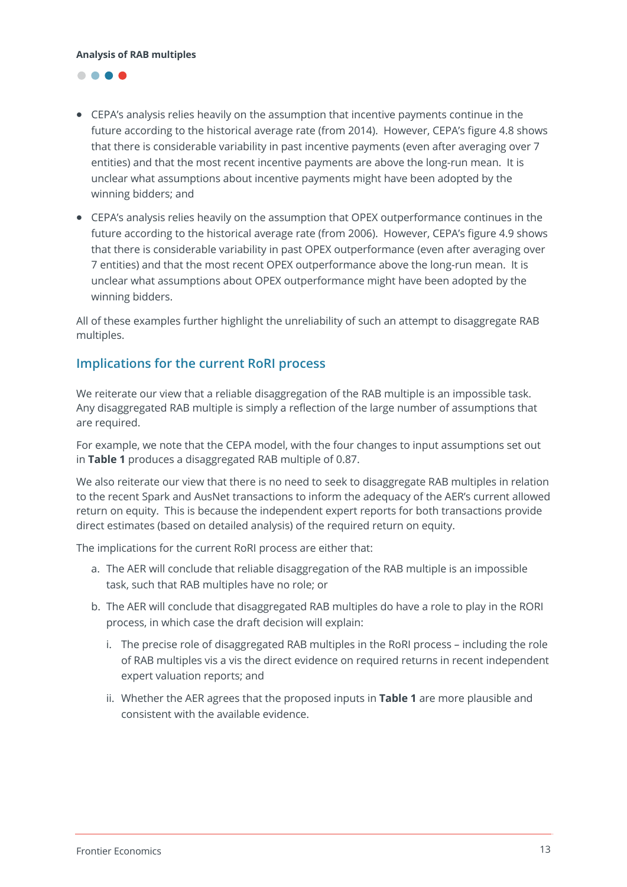

- CEPA's analysis relies heavily on the assumption that incentive payments continue in the future according to the historical average rate (from 2014). However, CEPA's figure 4.8 shows that there is considerable variability in past incentive payments (even after averaging over 7 entities) and that the most recent incentive payments are above the long-run mean. It is unclear what assumptions about incentive payments might have been adopted by the winning bidders; and
- CEPA's analysis relies heavily on the assumption that OPEX outperformance continues in the future according to the historical average rate (from 2006). However, CEPA's figure 4.9 shows that there is considerable variability in past OPEX outperformance (even after averaging over 7 entities) and that the most recent OPEX outperformance above the long-run mean. It is unclear what assumptions about OPEX outperformance might have been adopted by the winning bidders.

All of these examples further highlight the unreliability of such an attempt to disaggregate RAB multiples.

## **Implications for the current RoRI process**

We reiterate our view that a reliable disaggregation of the RAB multiple is an impossible task. Any disaggregated RAB multiple is simply a reflection of the large number of assumptions that are required.

For example, we note that the CEPA model, with the four changes to input assumptions set out in **Table 1** produces a disaggregated RAB multiple of 0.87.

We also reiterate our view that there is no need to seek to disaggregate RAB multiples in relation to the recent Spark and AusNet transactions to inform the adequacy of the AER's current allowed return on equity. This is because the independent expert reports for both transactions provide direct estimates (based on detailed analysis) of the required return on equity.

The implications for the current RoRI process are either that:

- a. The AER will conclude that reliable disaggregation of the RAB multiple is an impossible task, such that RAB multiples have no role; or
- b. The AER will conclude that disaggregated RAB multiples do have a role to play in the RORI process, in which case the draft decision will explain:
	- i. The precise role of disaggregated RAB multiples in the RoRI process including the role of RAB multiples vis a vis the direct evidence on required returns in recent independent expert valuation reports; and
	- ii. Whether the AER agrees that the proposed inputs in **Table 1** are more plausible and consistent with the available evidence.